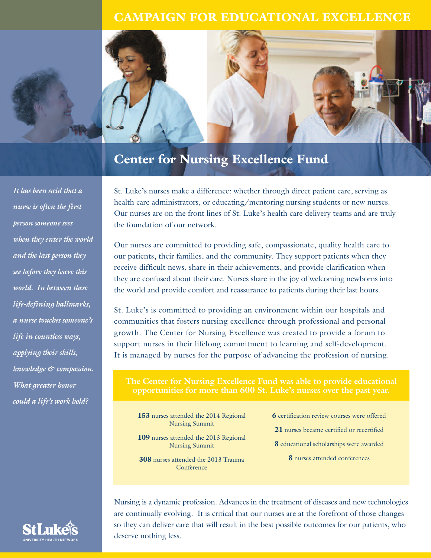## **CAMPAIGN FOR EDUCATIONAL EXCELLENCE**



## **Center for Nursing Excellence Fund**

*It has been said that a nurse is often the first person someone sees when they enter the world and the last person they see before they leave this world. In between these life-defining hallmarks, a nurse touches someone's life in countless ways, applying their skills, knowledge & compassion. What greater honor could a life's work hold?*

**UNIVERSITY HEALTH NET** 

St. Luke's nurses make a difference: whether through direct patient care, serving as health care administrators, or educating/mentoring nursing students or new nurses. Our nurses are on the front lines of St. Luke's health care delivery teams and are truly the foundation of our network.

Our nurses are committed to providing safe, compassionate, quality health care to our patients, their families, and the community. They support patients when they receive difficult news, share in their achievements, and provide clarification when they are confused about their care. Nurses share in the joy of welcoming newborns into the world and provide comfort and reassurance to patients during their last hours.

St. Luke's is committed to providing an environment within our hospitals and communities that fosters nursing excellence through professional and personal growth. The Center for Nursing Excellence was created to provide a forum to support nurses in their lifelong commitment to learning and self-development. It is managed by nurses for the purpose of advancing the profession of nursing.

**opportunities for more than 600 St. Luke's nurses over the past year.**

**153** nurses attended the 2014 Regional Nursing Summit

**109** nurses attended the 2013 Regional Nursing Summit

**308** nurses attended the 2013 Trauma Conference

**6** certification review courses were offered

**21** nurses became certified or recertified

**8** educational scholarships were awarded

**8** nurses attended conferences

Nursing is a dynamic profession. Advances in the treatment of diseases and new technologies are continually evolving. It is critical that our nurses are at the forefront of those changes so they can deliver care that will result in the best possible outcomes for our patients, who deserve nothing less.